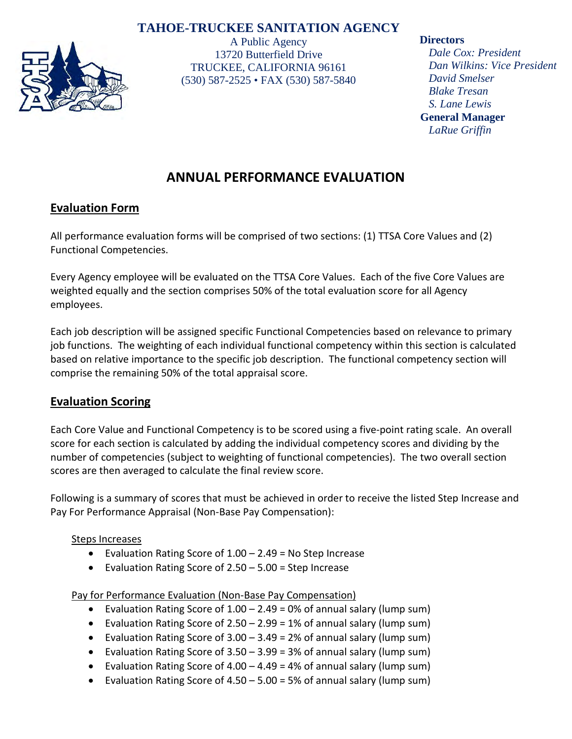# **TAHOE-TRUCKEE SANITATION AGENCY**



A Public Agency 13720 Butterfield Drive TRUCKEE, CALIFORNIA 96161 (530) 587-2525 • FAX (530) 587-5840

#### **Directors**

*Dale Cox: President Dan Wilkins: Vice President David Smelser Blake Tresan S. Lane Lewis*  **General Manager** *LaRue Griffin*

# **ANNUAL PERFORMANCE EVALUATION**

# **Evaluation Form**

All performance evaluation forms will be comprised of two sections: (1) TTSA Core Values and (2) Functional Competencies.

Every Agency employee will be evaluated on the TTSA Core Values. Each of the five Core Values are weighted equally and the section comprises 50% of the total evaluation score for all Agency employees.

Each job description will be assigned specific Functional Competencies based on relevance to primary job functions. The weighting of each individual functional competency within this section is calculated based on relative importance to the specific job description. The functional competency section will comprise the remaining 50% of the total appraisal score.

# **Evaluation Scoring**

Each Core Value and Functional Competency is to be scored using a five-point rating scale. An overall score for each section is calculated by adding the individual competency scores and dividing by the number of competencies (subject to weighting of functional competencies). The two overall section scores are then averaged to calculate the final review score.

Following is a summary of scores that must be achieved in order to receive the listed Step Increase and Pay For Performance Appraisal (Non-Base Pay Compensation):

## Steps Increases

- Evaluation Rating Score of 1.00 2.49 = No Step Increase
- Evaluation Rating Score of 2.50 5.00 = Step Increase

Pay for Performance Evaluation (Non-Base Pay Compensation)

- Evaluation Rating Score of 1.00 2.49 = 0% of annual salary (lump sum)
- Evaluation Rating Score of 2.50 2.99 = 1% of annual salary (lump sum)
- Evaluation Rating Score of  $3.00 3.49 = 2%$  of annual salary (lump sum)
- Evaluation Rating Score of  $3.50 3.99 = 3%$  of annual salary (lump sum)
- Evaluation Rating Score of 4.00 4.49 = 4% of annual salary (lump sum)
- Evaluation Rating Score of 4.50 5.00 = 5% of annual salary (lump sum)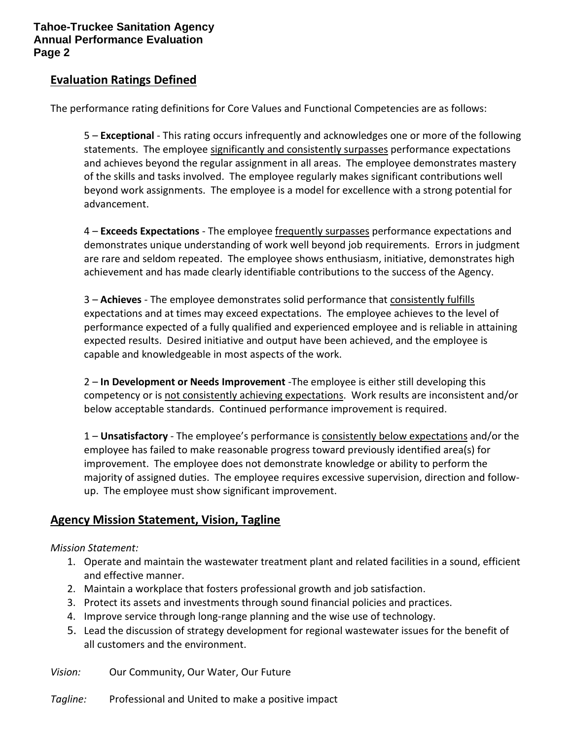### **Evaluation Ratings Defined**

The performance rating definitions for Core Values and Functional Competencies are as follows:

5 – **Exceptional** - This rating occurs infrequently and acknowledges one or more of the following statements. The employee significantly and consistently surpasses performance expectations and achieves beyond the regular assignment in all areas. The employee demonstrates mastery of the skills and tasks involved. The employee regularly makes significant contributions well beyond work assignments. The employee is a model for excellence with a strong potential for advancement.

4 – **Exceeds Expectations** - The employee frequently surpasses performance expectations and demonstrates unique understanding of work well beyond job requirements. Errors in judgment are rare and seldom repeated. The employee shows enthusiasm, initiative, demonstrates high achievement and has made clearly identifiable contributions to the success of the Agency.

3 – **Achieves** - The employee demonstrates solid performance that consistently fulfills expectations and at times may exceed expectations. The employee achieves to the level of performance expected of a fully qualified and experienced employee and is reliable in attaining expected results. Desired initiative and output have been achieved, and the employee is capable and knowledgeable in most aspects of the work.

2 – **In Development or Needs Improvement** -The employee is either still developing this competency or is not consistently achieving expectations. Work results are inconsistent and/or below acceptable standards. Continued performance improvement is required.

1 – **Unsatisfactory** - The employee's performance is consistently below expectations and/or the employee has failed to make reasonable progress toward previously identified area(s) for improvement. The employee does not demonstrate knowledge or ability to perform the majority of assigned duties. The employee requires excessive supervision, direction and followup. The employee must show significant improvement.

## **Agency Mission Statement, Vision, Tagline**

#### *Mission Statement:*

- 1. Operate and maintain the wastewater treatment plant and related facilities in a sound, efficient and effective manner.
- 2. Maintain a workplace that fosters professional growth and job satisfaction.
- 3. Protect its assets and investments through sound financial policies and practices.
- 4. Improve service through long-range planning and the wise use of technology.
- 5. Lead the discussion of strategy development for regional wastewater issues for the benefit of all customers and the environment.

*Vision:* Our Community, Our Water, Our Future

*Tagline:* Professional and United to make a positive impact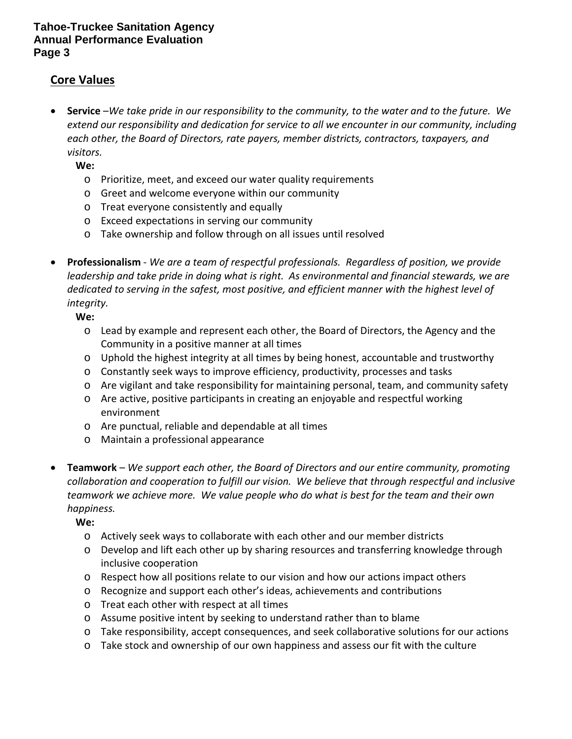# **Core Values**

• **Service** –*We take pride in our responsibility to the community, to the water and to the future. We extend our responsibility and dedication for service to all we encounter in our community, including each other, the Board of Directors, rate payers, member districts, contractors, taxpayers, and visitors.*

**We:**

- o Prioritize, meet, and exceed our water quality requirements
- o Greet and welcome everyone within our community
- o Treat everyone consistently and equally
- o Exceed expectations in serving our community
- o Take ownership and follow through on all issues until resolved
- **Professionalism** *We are a team of respectful professionals. Regardless of position, we provide leadership and take pride in doing what is right. As environmental and financial stewards, we are dedicated to serving in the safest, most positive, and efficient manner with the highest level of integrity.*

**We:**

- o Lead by example and represent each other, the Board of Directors, the Agency and the Community in a positive manner at all times
- $\circ$  Uphold the highest integrity at all times by being honest, accountable and trustworthy
- o Constantly seek ways to improve efficiency, productivity, processes and tasks
- o Are vigilant and take responsibility for maintaining personal, team, and community safety
- o Are active, positive participants in creating an enjoyable and respectful working environment
- o Are punctual, reliable and dependable at all times
- o Maintain a professional appearance
- **Teamwork** *We support each other, the Board of Directors and our entire community, promoting collaboration and cooperation to fulfill our vision. We believe that through respectful and inclusive teamwork we achieve more. We value people who do what is best for the team and their own happiness.*

**We:**

- o Actively seek ways to collaborate with each other and our member districts
- o Develop and lift each other up by sharing resources and transferring knowledge through inclusive cooperation
- $\circ$  Respect how all positions relate to our vision and how our actions impact others
- o Recognize and support each other's ideas, achievements and contributions
- o Treat each other with respect at all times
- o Assume positive intent by seeking to understand rather than to blame
- o Take responsibility, accept consequences, and seek collaborative solutions for our actions
- o Take stock and ownership of our own happiness and assess our fit with the culture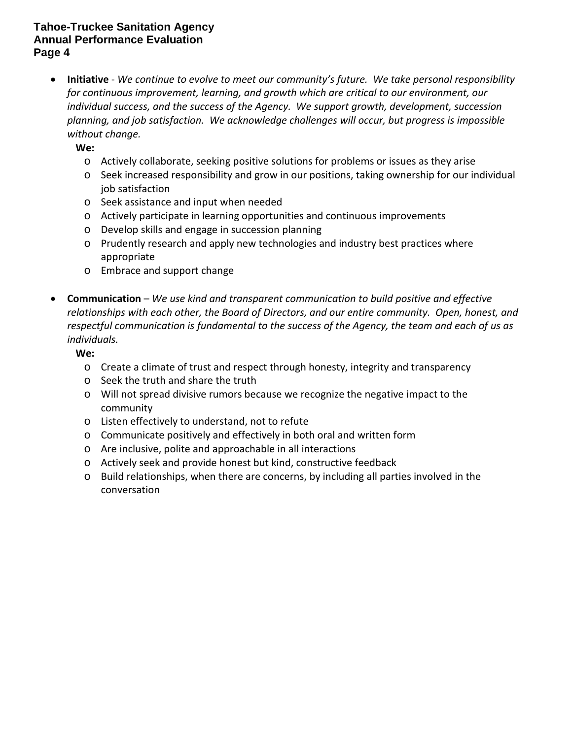• **Initiative** - *We continue to evolve to meet our community's future. We take personal responsibility for continuous improvement, learning, and growth which are critical to our environment, our individual success, and the success of the Agency. We support growth, development, succession planning, and job satisfaction. We acknowledge challenges will occur, but progress is impossible without change.* 

**We:**

- o Actively collaborate, seeking positive solutions for problems or issues as they arise
- o Seek increased responsibility and grow in our positions, taking ownership for our individual job satisfaction
- o Seek assistance and input when needed
- o Actively participate in learning opportunities and continuous improvements
- o Develop skills and engage in succession planning
- o Prudently research and apply new technologies and industry best practices where appropriate
- o Embrace and support change
- **Communication**  *We use kind and transparent communication to build positive and effective relationships with each other, the Board of Directors, and our entire community. Open, honest, and respectful communication is fundamental to the success of the Agency, the team and each of us as individuals.*

**We:**

- o Create a climate of trust and respect through honesty, integrity and transparency
- o Seek the truth and share the truth
- o Will not spread divisive rumors because we recognize the negative impact to the community
- o Listen effectively to understand, not to refute
- o Communicate positively and effectively in both oral and written form
- o Are inclusive, polite and approachable in all interactions
- o Actively seek and provide honest but kind, constructive feedback
- o Build relationships, when there are concerns, by including all parties involved in the conversation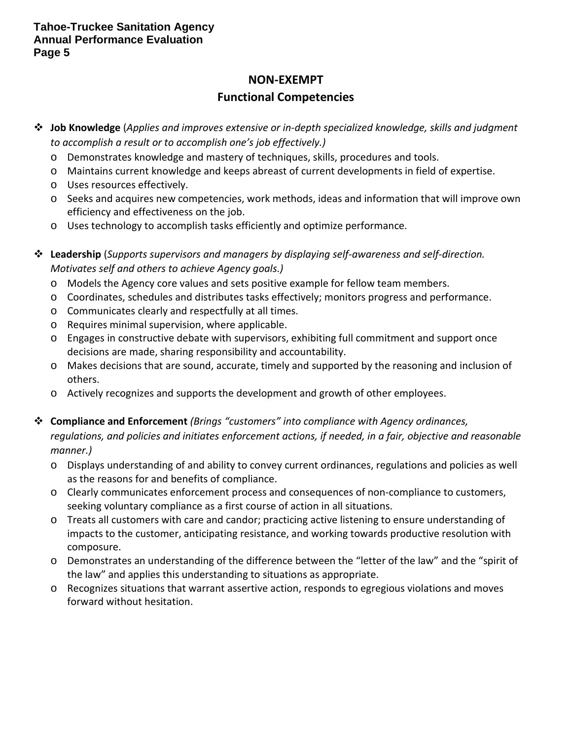# **NON-EXEMPT**

# **Functional Competencies**

- **Job Knowledge** (*Applies and improves extensive or in-depth specialized knowledge, skills and judgment to accomplish a result or to accomplish one's job effectively.)*
	- o Demonstrates knowledge and mastery of techniques, skills, procedures and tools.
	- o Maintains current knowledge and keeps abreast of current developments in field of expertise.
	- o Uses resources effectively.
	- o Seeks and acquires new competencies, work methods, ideas and information that will improve own efficiency and effectiveness on the job.
	- o Uses technology to accomplish tasks efficiently and optimize performance.
- **Leadership** (*Supports supervisors and managers by displaying self-awareness and self-direction. Motivates self and others to achieve Agency goals.)*
	- o Models the Agency core values and sets positive example for fellow team members.
	- o Coordinates, schedules and distributes tasks effectively; monitors progress and performance.
	- o Communicates clearly and respectfully at all times.
	- o Requires minimal supervision, where applicable.
	- o Engages in constructive debate with supervisors, exhibiting full commitment and support once decisions are made, sharing responsibility and accountability.
	- o Makes decisions that are sound, accurate, timely and supported by the reasoning and inclusion of others.
	- o Actively recognizes and supports the development and growth of other employees.
- **Compliance and Enforcement** *(Brings "customers" into compliance with Agency ordinances, regulations, and policies and initiates enforcement actions, if needed, in a fair, objective and reasonable manner.)*
	- o Displays understanding of and ability to convey current ordinances, regulations and policies as well as the reasons for and benefits of compliance.
	- o Clearly communicates enforcement process and consequences of non-compliance to customers, seeking voluntary compliance as a first course of action in all situations.
	- o Treats all customers with care and candor; practicing active listening to ensure understanding of impacts to the customer, anticipating resistance, and working towards productive resolution with composure.
	- o Demonstrates an understanding of the difference between the "letter of the law" and the "spirit of the law" and applies this understanding to situations as appropriate.
	- o Recognizes situations that warrant assertive action, responds to egregious violations and moves forward without hesitation.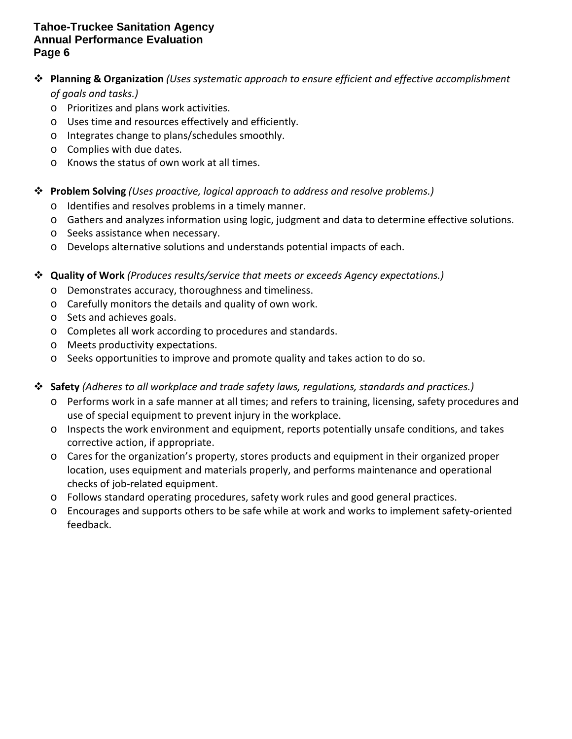## **Planning & Organization** *(Uses systematic approach to ensure efficient and effective accomplishment of goals and tasks.)*

- o Prioritizes and plans work activities.
- o Uses time and resources effectively and efficiently.
- o Integrates change to plans/schedules smoothly.
- o Complies with due dates.
- o Knows the status of own work at all times.

### **Problem Solving** *(Uses proactive, logical approach to address and resolve problems.)*

- o Identifies and resolves problems in a timely manner.
- o Gathers and analyzes information using logic, judgment and data to determine effective solutions.
- o Seeks assistance when necessary.
- o Develops alternative solutions and understands potential impacts of each.

### **Quality of Work** *(Produces results/service that meets or exceeds Agency expectations.)*

- o Demonstrates accuracy, thoroughness and timeliness.
- o Carefully monitors the details and quality of own work.
- o Sets and achieves goals.
- o Completes all work according to procedures and standards.
- o Meets productivity expectations.
- o Seeks opportunities to improve and promote quality and takes action to do so.
- **Safety** *(Adheres to all workplace and trade safety laws, regulations, standards and practices.)*
	- o Performs work in a safe manner at all times; and refers to training, licensing, safety procedures and use of special equipment to prevent injury in the workplace.
	- o Inspects the work environment and equipment, reports potentially unsafe conditions, and takes corrective action, if appropriate.
	- o Cares for the organization's property, stores products and equipment in their organized proper location, uses equipment and materials properly, and performs maintenance and operational checks of job-related equipment.
	- o Follows standard operating procedures, safety work rules and good general practices.
	- o Encourages and supports others to be safe while at work and works to implement safety-oriented feedback.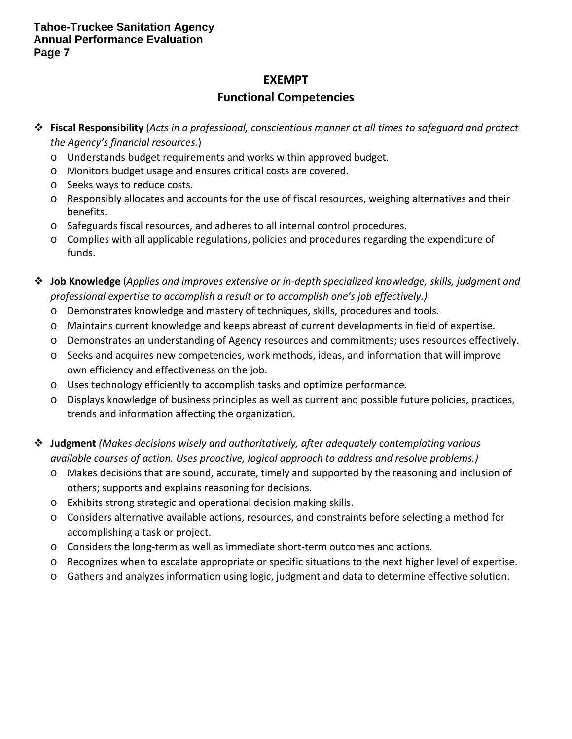# **EXEMPT**

# **Functional Competencies**

- **Fiscal Responsibility** (*Acts in a professional, conscientious manner at all times to safeguard and protect the Agency's financial resources.*)
	- o Understands budget requirements and works within approved budget.
	- o Monitors budget usage and ensures critical costs are covered.
	- o Seeks ways to reduce costs.
	- o Responsibly allocates and accounts for the use of fiscal resources, weighing alternatives and their benefits.
	- o Safeguards fiscal resources, and adheres to all internal control procedures.
	- o Complies with all applicable regulations, policies and procedures regarding the expenditure of funds.
- **Job Knowledge** (*Applies and improves extensive or in-depth specialized knowledge, skills, judgment and professional expertise to accomplish a result or to accomplish one's job effectively.)*
	- o Demonstrates knowledge and mastery of techniques, skills, procedures and tools.
	- o Maintains current knowledge and keeps abreast of current developments in field of expertise.
	- o Demonstrates an understanding of Agency resources and commitments; uses resources effectively.
	- o Seeks and acquires new competencies, work methods, ideas, and information that will improve own efficiency and effectiveness on the job.
	- o Uses technology efficiently to accomplish tasks and optimize performance.
	- o Displays knowledge of business principles as well as current and possible future policies, practices, trends and information affecting the organization.
- **Judgment** *(Makes decisions wisely and authoritatively, after adequately contemplating various available courses of action. Uses proactive, logical approach to address and resolve problems.)*
	- o Makes decisions that are sound, accurate, timely and supported by the reasoning and inclusion of others; supports and explains reasoning for decisions.
	- o Exhibits strong strategic and operational decision making skills.
	- o Considers alternative available actions, resources, and constraints before selecting a method for accomplishing a task or project.
	- o Considers the long-term as well as immediate short-term outcomes and actions.
	- o Recognizes when to escalate appropriate or specific situations to the next higher level of expertise.
	- o Gathers and analyzes information using logic, judgment and data to determine effective solution.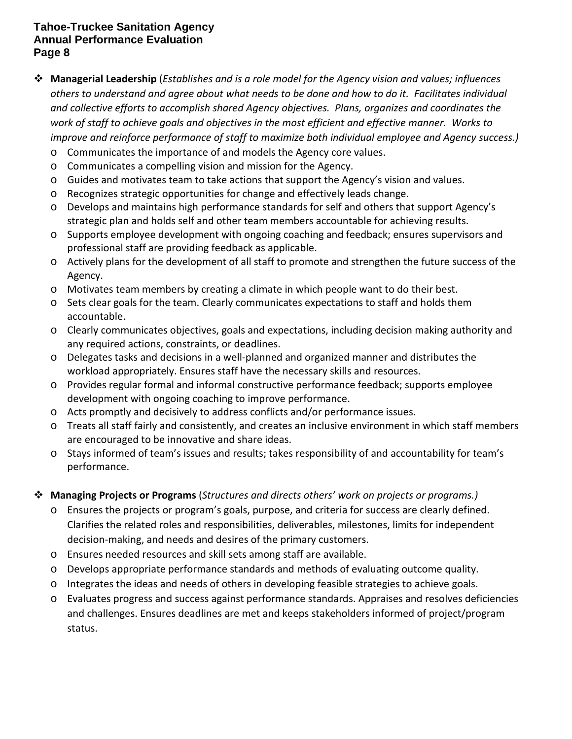- **Managerial Leadership** (*Establishes and is a role model for the Agency vision and values; influences others to understand and agree about what needs to be done and how to do it. Facilitates individual and collective efforts to accomplish shared Agency objectives. Plans, organizes and coordinates the work of staff to achieve goals and objectives in the most efficient and effective manner. Works to improve and reinforce performance of staff to maximize both individual employee and Agency success.)*
	- o Communicates the importance of and models the Agency core values.
	- o Communicates a compelling vision and mission for the Agency.
	- o Guides and motivates team to take actions that support the Agency's vision and values.
	- o Recognizes strategic opportunities for change and effectively leads change.
	- o Develops and maintains high performance standards for self and others that support Agency's strategic plan and holds self and other team members accountable for achieving results.
	- o Supports employee development with ongoing coaching and feedback; ensures supervisors and professional staff are providing feedback as applicable.
	- o Actively plans for the development of all staff to promote and strengthen the future success of the Agency.
	- o Motivates team members by creating a climate in which people want to do their best.
	- o Sets clear goals for the team. Clearly communicates expectations to staff and holds them accountable.
	- o Clearly communicates objectives, goals and expectations, including decision making authority and any required actions, constraints, or deadlines.
	- o Delegates tasks and decisions in a well-planned and organized manner and distributes the workload appropriately. Ensures staff have the necessary skills and resources.
	- o Provides regular formal and informal constructive performance feedback; supports employee development with ongoing coaching to improve performance.
	- o Acts promptly and decisively to address conflicts and/or performance issues.
	- o Treats all staff fairly and consistently, and creates an inclusive environment in which staff members are encouraged to be innovative and share ideas.
	- o Stays informed of team's issues and results; takes responsibility of and accountability for team's performance.

## **Managing Projects or Programs** (*Structures and directs others' work on projects or programs.)*

- o Ensures the projects or program's goals, purpose, and criteria for success are clearly defined. Clarifies the related roles and responsibilities, deliverables, milestones, limits for independent decision-making, and needs and desires of the primary customers.
- o Ensures needed resources and skill sets among staff are available.
- o Develops appropriate performance standards and methods of evaluating outcome quality.
- o Integrates the ideas and needs of others in developing feasible strategies to achieve goals.
- o Evaluates progress and success against performance standards. Appraises and resolves deficiencies and challenges. Ensures deadlines are met and keeps stakeholders informed of project/program status.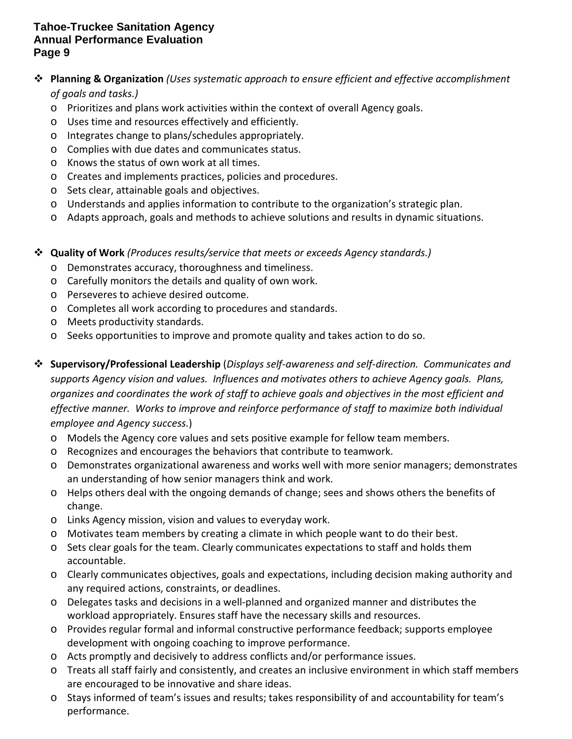# **Planning & Organization** *(Uses systematic approach to ensure efficient and effective accomplishment of goals and tasks.)*

- o Prioritizes and plans work activities within the context of overall Agency goals.
- o Uses time and resources effectively and efficiently.
- o Integrates change to plans/schedules appropriately.
- o Complies with due dates and communicates status.
- o Knows the status of own work at all times.
- o Creates and implements practices, policies and procedures.
- o Sets clear, attainable goals and objectives.
- o Understands and applies information to contribute to the organization's strategic plan.
- o Adapts approach, goals and methods to achieve solutions and results in dynamic situations.

**Quality of Work** *(Produces results/service that meets or exceeds Agency standards.)* 

- o Demonstrates accuracy, thoroughness and timeliness.
- o Carefully monitors the details and quality of own work.
- o Perseveres to achieve desired outcome.
- o Completes all work according to procedures and standards.
- o Meets productivity standards.
- o Seeks opportunities to improve and promote quality and takes action to do so.
- **Supervisory/Professional Leadership** (*Displays self-awareness and self-direction. Communicates and supports Agency vision and values. Influences and motivates others to achieve Agency goals. Plans, organizes and coordinates the work of staff to achieve goals and objectives in the most efficient and effective manner. Works to improve and reinforce performance of staff to maximize both individual employee and Agency success.*)
	- o Models the Agency core values and sets positive example for fellow team members.
	- o Recognizes and encourages the behaviors that contribute to teamwork.
	- o Demonstrates organizational awareness and works well with more senior managers; demonstrates an understanding of how senior managers think and work.
	- o Helps others deal with the ongoing demands of change; sees and shows others the benefits of change.
	- o Links Agency mission, vision and values to everyday work.
	- o Motivates team members by creating a climate in which people want to do their best.
	- o Sets clear goals for the team. Clearly communicates expectations to staff and holds them accountable.
	- o Clearly communicates objectives, goals and expectations, including decision making authority and any required actions, constraints, or deadlines.
	- o Delegates tasks and decisions in a well-planned and organized manner and distributes the workload appropriately. Ensures staff have the necessary skills and resources.
	- o Provides regular formal and informal constructive performance feedback; supports employee development with ongoing coaching to improve performance.
	- o Acts promptly and decisively to address conflicts and/or performance issues.
	- o Treats all staff fairly and consistently, and creates an inclusive environment in which staff members are encouraged to be innovative and share ideas.
	- o Stays informed of team's issues and results; takes responsibility of and accountability for team's performance.